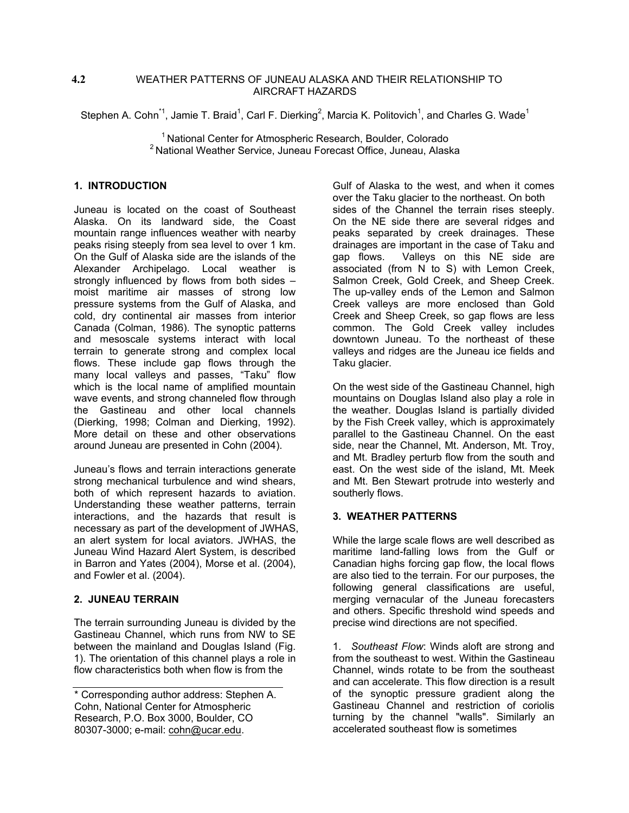#### WEATHER PATTERNS OF JUNEAU ALASKA AND THEIR RELATIONSHIP TO AIRCRAFT HAZARDS

Stephen A. Cohn<sup>\*1</sup>, Jamie T. Braid<sup>1</sup>, Carl F. Dierking<sup>2</sup>, Marcia K. Politovich<sup>1</sup>, and Charles G. Wade<sup>1</sup>

<sup>1</sup> National Center for Atmospheric Research, Boulder, Colorado <sup>2</sup> National Weather Service, Juneau Forecast Office, Juneau, Alaska

### **1. INTRODUCTION**

Juneau is located on the coast of Southeast Alaska. On its landward side, the Coast mountain range influences weather with nearby peaks rising steeply from sea level to over 1 km. On the Gulf of Alaska side are the islands of the Alexander Archipelago. Local weather is strongly influenced by flows from both sides – moist maritime air masses of strong low pressure systems from the Gulf of Alaska, and cold, dry continental air masses from interior Canada (Colman, 1986). The synoptic patterns and mesoscale systems interact with local terrain to generate strong and complex local flows. These include gap flows through the many local valleys and passes, "Taku" flow which is the local name of amplified mountain wave events, and strong channeled flow through the Gastineau and other local channels (Dierking, 1998; Colman and Dierking, 1992). More detail on these and other observations around Juneau are presented in Cohn (2004).

Juneau's flows and terrain interactions generate strong mechanical turbulence and wind shears, both of which represent hazards to aviation. Understanding these weather patterns, terrain interactions, and the hazards that result is necessary as part of the development of JWHAS, an alert system for local aviators. JWHAS, the Juneau Wind Hazard Alert System, is described in Barron and Yates (2004), Morse et al. (2004), and Fowler et al. (2004).

#### **2. JUNEAU TERRAIN**

The terrain surrounding Juneau is divided by the Gastineau Channel, which runs from NW to SE between the mainland and Douglas Island (Fig. 1). The orientation of this channel plays a role in flow characteristics both when flow is from the

Gulf of Alaska to the west, and when it comes over the Taku glacier to the northeast. On both sides of the Channel the terrain rises steeply. On the NE side there are several ridges and peaks separated by creek drainages. These drainages are important in the case of Taku and gap flows. Valleys on this NE side are associated (from N to S) with Lemon Creek, Salmon Creek, Gold Creek, and Sheep Creek. The up-valley ends of the Lemon and Salmon Creek valleys are more enclosed than Gold Creek and Sheep Creek, so gap flows are less common. The Gold Creek valley includes downtown Juneau. To the northeast of these valleys and ridges are the Juneau ice fields and Taku glacier.

On the west side of the Gastineau Channel, high mountains on Douglas Island also play a role in the weather. Douglas Island is partially divided by the Fish Creek valley, which is approximately parallel to the Gastineau Channel. On the east side, near the Channel, Mt. Anderson, Mt. Troy, and Mt. Bradley perturb flow from the south and east. On the west side of the island, Mt. Meek and Mt. Ben Stewart protrude into westerly and southerly flows.

# **3. WEATHER PATTERNS**

While the large scale flows are well described as maritime land-falling lows from the Gulf or Canadian highs forcing gap flow, the local flows are also tied to the terrain. For our purposes, the following general classifications are useful, merging vernacular of the Juneau forecasters and others. Specific threshold wind speeds and precise wind directions are not specified.

1. *Southeast Flow*: Winds aloft are strong and from the southeast to west. Within the Gastineau Channel, winds rotate to be from the southeast and can accelerate. This flow direction is a result of the synoptic pressure gradient along the Gastineau Channel and restriction of coriolis turning by the channel "walls". Similarly an accelerated southeast flow is sometimes

**4.2** 

<sup>\*</sup> Corresponding author address: Stephen A. Cohn, National Center for Atmospheric Research, P.O. Box 3000, Boulder, CO 80307-3000; e-mail: cohn@ucar.edu.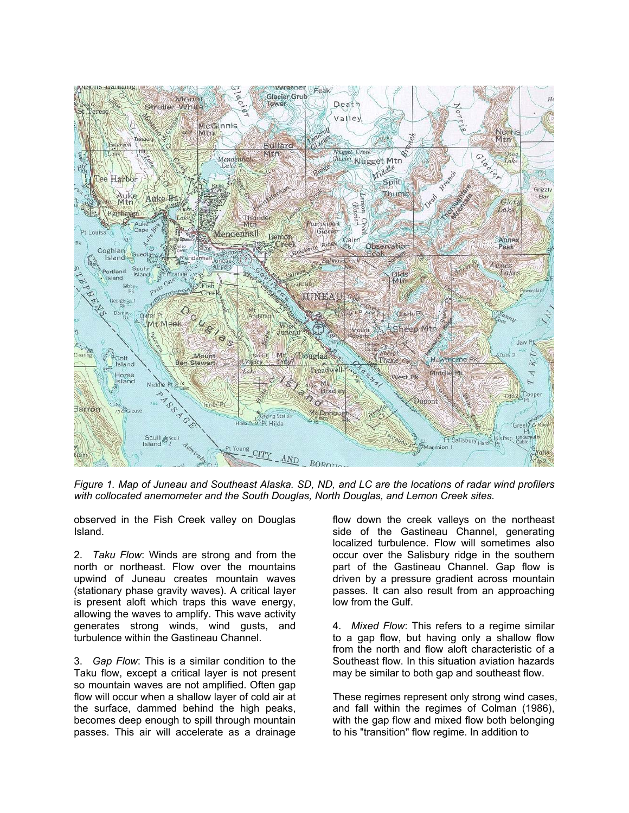

*Figure 1. Map of Juneau and Southeast Alaska. SD, ND, and LC are the locations of radar wind profilers with collocated anemometer and the South Douglas, North Douglas, and Lemon Creek sites.* 

observed in the Fish Creek valley on Douglas Island.

2. *Taku Flow*: Winds are strong and from the north or northeast. Flow over the mountains upwind of Juneau creates mountain waves (stationary phase gravity waves). A critical layer is present aloft which traps this wave energy, allowing the waves to amplify. This wave activity generates strong winds, wind gusts, and turbulence within the Gastineau Channel.

3. *Gap Flow*: This is a similar condition to the Taku flow, except a critical layer is not present so mountain waves are not amplified. Often gap flow will occur when a shallow layer of cold air at the surface, dammed behind the high peaks, becomes deep enough to spill through mountain passes. This air will accelerate as a drainage

flow down the creek valleys on the northeast side of the Gastineau Channel, generating localized turbulence. Flow will sometimes also occur over the Salisbury ridge in the southern part of the Gastineau Channel. Gap flow is driven by a pressure gradient across mountain passes. It can also result from an approaching low from the Gulf.

4. *Mixed Flow*: This refers to a regime similar to a gap flow, but having only a shallow flow from the north and flow aloft characteristic of a Southeast flow. In this situation aviation hazards may be similar to both gap and southeast flow.

These regimes represent only strong wind cases, and fall within the regimes of Colman (1986), with the gap flow and mixed flow both belonging to his "transition" flow regime. In addition to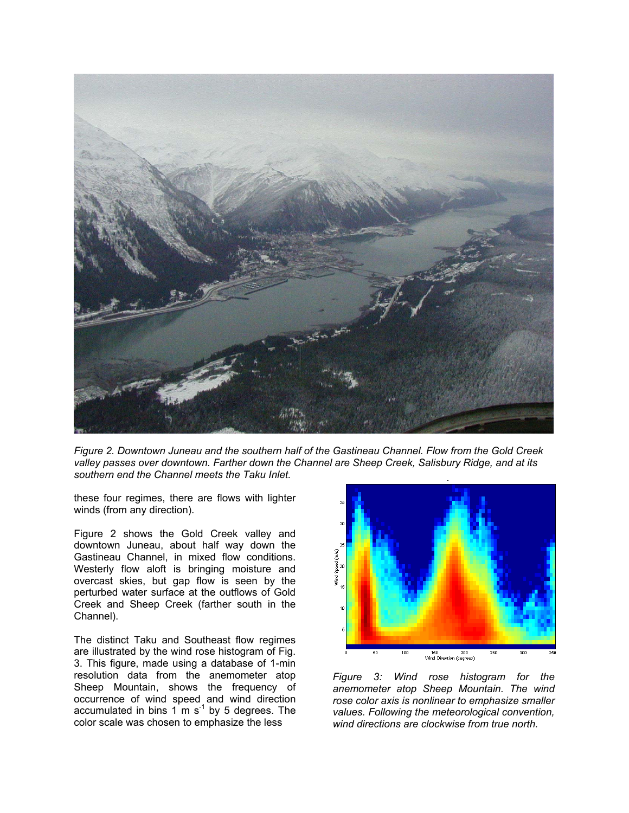

*Figure 2. Downtown Juneau and the southern half of the Gastineau Channel. Flow from the Gold Creek valley passes over downtown. Farther down the Channel are Sheep Creek, Salisbury Ridge, and at its southern end the Channel meets the Taku Inlet.* 

these four regimes, there are flows with lighter winds (from any direction).

Figure 2 shows the Gold Creek valley and downtown Juneau, about half way down the Gastineau Channel, in mixed flow conditions. Westerly flow aloft is bringing moisture and overcast skies, but gap flow is seen by the perturbed water surface at the outflows of Gold Creek and Sheep Creek (farther south in the Channel).

The distinct Taku and Southeast flow regimes are illustrated by the wind rose histogram of Fig. 3. This figure, made using a database of 1-min resolution data from the anemometer atop Sheep Mountain, shows the frequency of occurrence of wind speed and wind direction accumulated in bins 1 m s<sup>-1</sup> by 5 degrees. The color scale was chosen to emphasize the less



*Figure 3: Wind rose histogram for the anemometer atop Sheep Mountain. The wind rose color axis is nonlinear to emphasize smaller values. Following the meteorological convention, wind directions are clockwise from true north.*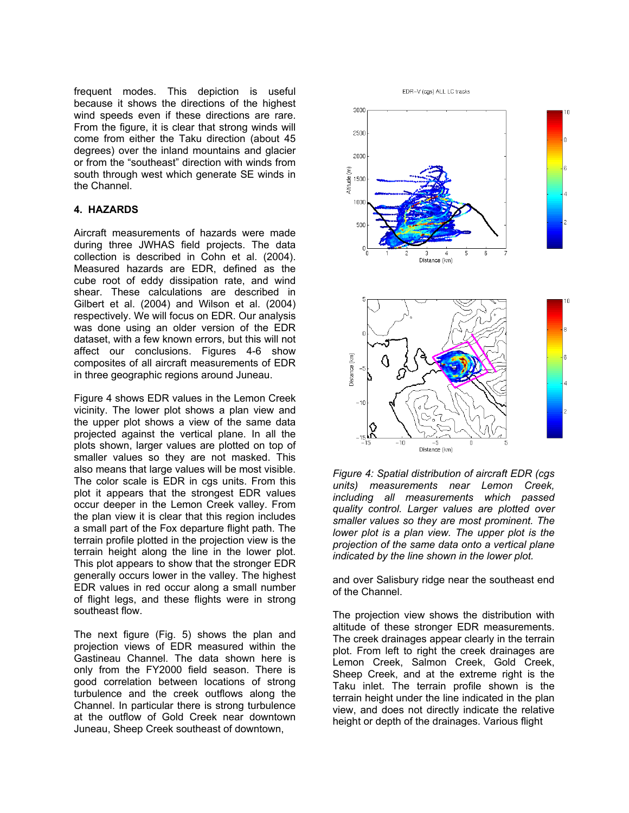frequent modes. This depiction is useful because it shows the directions of the highest wind speeds even if these directions are rare. From the figure, it is clear that strong winds will come from either the Taku direction (about 45 degrees) over the inland mountains and glacier or from the "southeast" direction with winds from south through west which generate SE winds in the Channel.

## **4. HAZARDS**

Aircraft measurements of hazards were made during three JWHAS field projects. The data collection is described in Cohn et al. (2004). Measured hazards are EDR, defined as the cube root of eddy dissipation rate, and wind shear. These calculations are described in Gilbert et al. (2004) and Wilson et al. (2004) respectively. We will focus on EDR. Our analysis was done using an older version of the EDR dataset, with a few known errors, but this will not affect our conclusions. Figures 4-6 show composites of all aircraft measurements of EDR in three geographic regions around Juneau.

Figure 4 shows EDR values in the Lemon Creek vicinity. The lower plot shows a plan view and the upper plot shows a view of the same data projected against the vertical plane. In all the plots shown, larger values are plotted on top of smaller values so they are not masked. This also means that large values will be most visible. The color scale is EDR in cgs units. From this plot it appears that the strongest EDR values occur deeper in the Lemon Creek valley. From the plan view it is clear that this region includes a small part of the Fox departure flight path. The terrain profile plotted in the projection view is the terrain height along the line in the lower plot. This plot appears to show that the stronger EDR generally occurs lower in the valley. The highest EDR values in red occur along a small number of flight legs, and these flights were in strong southeast flow.

The next figure (Fig. 5) shows the plan and projection views of EDR measured within the Gastineau Channel. The data shown here is only from the FY2000 field season. There is good correlation between locations of strong turbulence and the creek outflows along the Channel. In particular there is strong turbulence at the outflow of Gold Creek near downtown Juneau, Sheep Creek southeast of downtown,





*Figure 4: Spatial distribution of aircraft EDR (cgs units) measurements near Lemon Creek, including all measurements which passed quality control. Larger values are plotted over smaller values so they are most prominent. The lower plot is a plan view. The upper plot is the projection of the same data onto a vertical plane indicated by the line shown in the lower plot.* 

and over Salisbury ridge near the southeast end of the Channel.

The projection view shows the distribution with altitude of these stronger EDR measurements. The creek drainages appear clearly in the terrain plot. From left to right the creek drainages are Lemon Creek, Salmon Creek, Gold Creek, Sheep Creek, and at the extreme right is the Taku inlet. The terrain profile shown is the terrain height under the line indicated in the plan view, and does not directly indicate the relative height or depth of the drainages. Various flight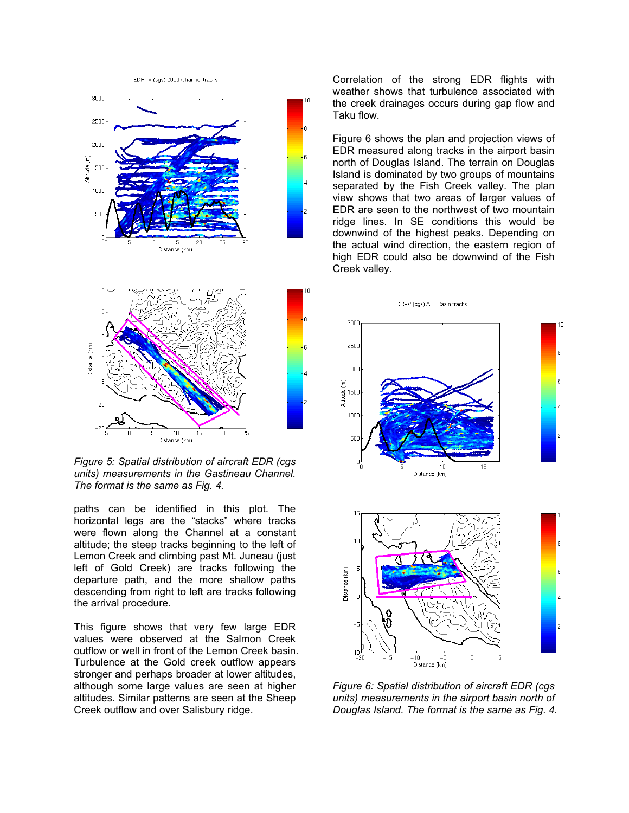EDR-V (cgs) 2000 Channel tracks





*Figure 5: Spatial distribution of aircraft EDR (cgs units) measurements in the Gastineau Channel. The format is the same as Fig. 4.* 

paths can be identified in this plot. The horizontal legs are the "stacks" where tracks were flown along the Channel at a constant altitude; the steep tracks beginning to the left of Lemon Creek and climbing past Mt. Juneau (just left of Gold Creek) are tracks following the departure path, and the more shallow paths descending from right to left are tracks following the arrival procedure.

This figure shows that very few large EDR values were observed at the Salmon Creek outflow or well in front of the Lemon Creek basin. Turbulence at the Gold creek outflow appears stronger and perhaps broader at lower altitudes, although some large values are seen at higher altitudes. Similar patterns are seen at the Sheep Creek outflow and over Salisbury ridge.

Correlation of the strong EDR flights with weather shows that turbulence associated with the creek drainages occurs during gap flow and Taku flow.

Figure 6 shows the plan and projection views of EDR measured along tracks in the airport basin north of Douglas Island. The terrain on Douglas Island is dominated by two groups of mountains separated by the Fish Creek valley. The plan view shows that two areas of larger values of EDR are seen to the northwest of two mountain ridge lines. In SE conditions this would be downwind of the highest peaks. Depending on the actual wind direction, the eastern region of high EDR could also be downwind of the Fish Creek valley.



*Figure 6: Spatial distribution of aircraft EDR (cgs units) measurements in the airport basin north of Douglas Island. The format is the same as Fig. 4.*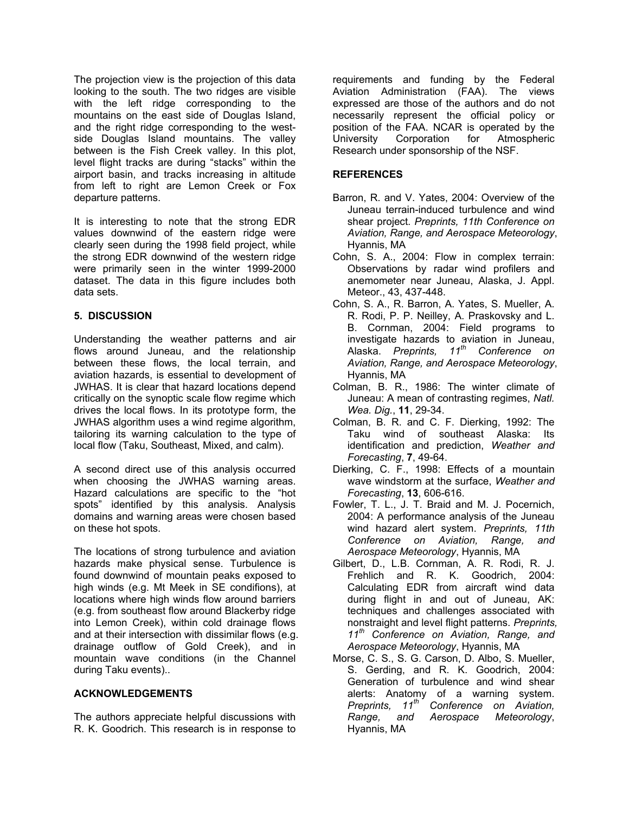The projection view is the projection of this data looking to the south. The two ridges are visible with the left ridge corresponding to the mountains on the east side of Douglas Island, and the right ridge corresponding to the westside Douglas Island mountains. The valley between is the Fish Creek valley. In this plot, level flight tracks are during "stacks" within the airport basin, and tracks increasing in altitude from left to right are Lemon Creek or Fox departure patterns.

It is interesting to note that the strong EDR values downwind of the eastern ridge were clearly seen during the 1998 field project, while the strong EDR downwind of the western ridge were primarily seen in the winter 1999-2000 dataset. The data in this figure includes both data sets.

# **5. DISCUSSION**

Understanding the weather patterns and air flows around Juneau, and the relationship between these flows, the local terrain, and aviation hazards, is essential to development of JWHAS. It is clear that hazard locations depend critically on the synoptic scale flow regime which drives the local flows. In its prototype form, the JWHAS algorithm uses a wind regime algorithm, tailoring its warning calculation to the type of local flow (Taku, Southeast, Mixed, and calm).

A second direct use of this analysis occurred when choosing the JWHAS warning areas. Hazard calculations are specific to the "hot spots" identified by this analysis. Analysis domains and warning areas were chosen based on these hot spots.

The locations of strong turbulence and aviation hazards make physical sense. Turbulence is found downwind of mountain peaks exposed to high winds (e.g. Mt Meek in SE condifions), at locations where high winds flow around barriers (e.g. from southeast flow around Blackerby ridge into Lemon Creek), within cold drainage flows and at their intersection with dissimilar flows (e.g. drainage outflow of Gold Creek), and in mountain wave conditions (in the Channel during Taku events)..

# **ACKNOWLEDGEMENTS**

The authors appreciate helpful discussions with R. K. Goodrich. This research is in response to

requirements and funding by the Federal Aviation Administration (FAA). The views expressed are those of the authors and do not necessarily represent the official policy or position of the FAA. NCAR is operated by the University Corporation for Atmospheric Research under sponsorship of the NSF.

# **REFERENCES**

- Barron, R. and V. Yates, 2004: Overview of the Juneau terrain-induced turbulence and wind shear project. *Preprints, 11th Conference on Aviation, Range, and Aerospace Meteorology*, Hyannis, MA
- Cohn, S. A., 2004: Flow in complex terrain: Observations by radar wind profilers and anemometer near Juneau, Alaska, J. Appl. Meteor., 43, 437-448.
- Cohn, S. A., R. Barron, A. Yates, S. Mueller, A. R. Rodi, P. P. Neilley, A. Praskovsky and L. B. Cornman, 2004: Field programs to investigate hazards to aviation in Juneau, Alaska. *Preprints, 11th Conference on Aviation, Range, and Aerospace Meteorology*, Hyannis, MA
- Colman, B. R., 1986: The winter climate of Juneau: A mean of contrasting regimes, *Natl. Wea. Dig.*, **11**, 29-34.
- Colman, B. R. and C. F. Dierking, 1992: The Taku wind of southeast Alaska: Its identification and prediction, *Weather and Forecasting*, **7**, 49-64.
- Dierking, C. F., 1998: Effects of a mountain wave windstorm at the surface, *Weather and Forecasting*, **13**, 606-616.
- Fowler, T. L., J. T. Braid and M. J. Pocernich, 2004: A performance analysis of the Juneau wind hazard alert system. *Preprints, 11th Conference on Aviation, Range, and Aerospace Meteorology*, Hyannis, MA
- Gilbert, D., L.B. Cornman, A. R. Rodi, R. J. Frehlich and R. K. Goodrich, 2004: Calculating EDR from aircraft wind data during flight in and out of Juneau, AK: techniques and challenges associated with nonstraight and level flight patterns. *Preprints, 11th Conference on Aviation, Range, and Aerospace Meteorology*, Hyannis, MA
- Morse, C. S., S. G. Carson, D. Albo, S. Mueller, S. Gerding, and R. K. Goodrich, 2004: Generation of turbulence and wind shear alerts: Anatomy of a warning system. *Preprints, 11th Conference on Aviation, Range, and Aerospace Meteorology*, Hyannis, MA